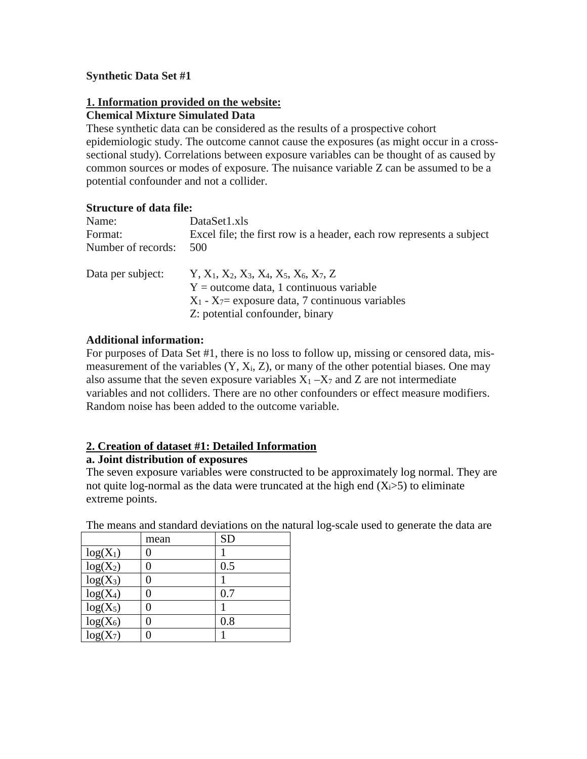## **Synthetic Data Set #1**

# **1. Information provided on the website:**

#### **Chemical Mixture Simulated Data**

These synthetic data can be considered as the results of a prospective cohort epidemiologic study. The outcome cannot cause the exposures (as might occur in a crosssectional study). Correlations between exposure variables can be thought of as caused by common sources or modes of exposure. The nuisance variable Z can be assumed to be a potential confounder and not a collider.

### **Structure of data file:**

| Name:              | DataSet1.xls                                                         |
|--------------------|----------------------------------------------------------------------|
| Format:            | Excel file; the first row is a header, each row represents a subject |
| Number of records: | .500                                                                 |

| Data per subject: | $Y, X_1, X_2, X_3, X_4, X_5, X_6, X_7, Z$             |
|-------------------|-------------------------------------------------------|
|                   | $Y =$ outcome data, 1 continuous variable             |
|                   | $X_1$ - $X_7$ = exposure data, 7 continuous variables |
|                   | Z: potential confounder, binary                       |

# **Additional information:**

For purposes of Data Set #1, there is no loss to follow up, missing or censored data, mismeasurement of the variables  $(Y, X_i, Z)$ , or many of the other potential biases. One may also assume that the seven exposure variables  $X_1 - X_7$  and Z are not intermediate variables and not colliders. There are no other confounders or effect measure modifiers. Random noise has been added to the outcome variable.

# **2. Creation of dataset #1: Detailed Information**

### **a. Joint distribution of exposures**

The seven exposure variables were constructed to be approximately log normal. They are not quite log-normal as the data were truncated at the high end  $(X_i>5)$  to eliminate extreme points.

|            | mean | <b>SD</b> |
|------------|------|-----------|
| $log(X_1)$ |      |           |
| $log(X_2)$ | 0    | 0.5       |
| $log(X_3)$ |      |           |
| $log(X_4)$ | 0    | 0.7       |
| $log(X_5)$ |      |           |
| $log(X_6)$ |      | 0.8       |
| $log(X_7)$ |      |           |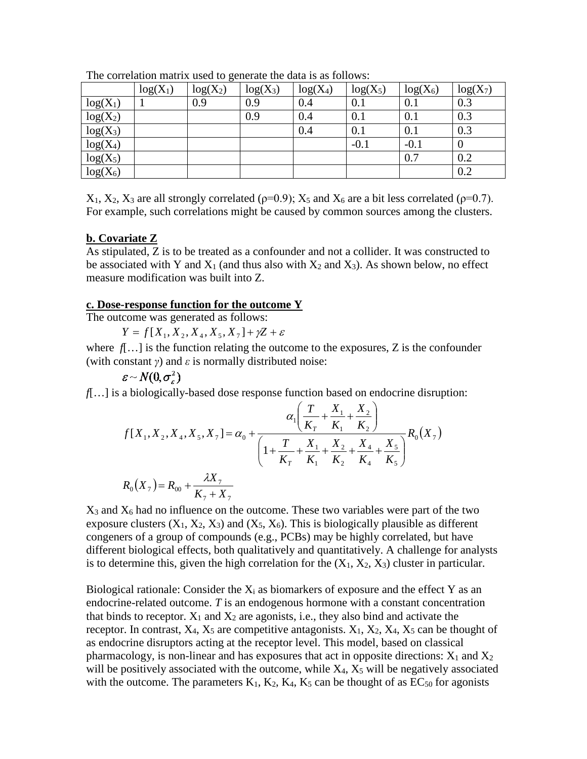|            | $log(X_1)$ | ັ<br>$log(X_2)$ | $log(X_3)$ | $log(X_4)$ | $log(X_5)$ | $log(X_6)$ | $log(X_7)$ |
|------------|------------|-----------------|------------|------------|------------|------------|------------|
| $log(X_1)$ |            | 0.9             | 0.9        | 0.4        | 0.1        | 0.1        | 0.3        |
| $log(X_2)$ |            |                 | 0.9        | 0.4        | 0.1        | 0.1        | 0.3        |
| $log(X_3)$ |            |                 |            | 0.4        | 0.1        | 0.1        | 0.3        |
| $log(X_4)$ |            |                 |            |            | $-0.1$     | $-0.1$     |            |
| $log(X_5)$ |            |                 |            |            |            | 0.7        | 0.2        |
| $log(X_6)$ |            |                 |            |            |            |            | 0.2        |

The correlation matrix used to generate the data is as follows:

 $X_1, X_2, X_3$  are all strongly correlated ( $p=0.9$ );  $X_5$  and  $X_6$  are a bit less correlated ( $p=0.7$ ). For example, such correlations might be caused by common sources among the clusters.

#### **b. Covariate Z**

As stipulated, Z is to be treated as a confounder and not a collider. It was constructed to be associated with Y and  $X_1$  (and thus also with  $X_2$  and  $X_3$ ). As shown below, no effect measure modification was built into Z.

#### **c. Dose-response function for the outcome Y**

The outcome was generated as follows:

 $Y = f[X_1, X_2, X_4, X_5, X_7] + \gamma Z + \varepsilon$ 

where  $f$ [...] is the function relating the outcome to the exposures, Z is the confounder (with constant *γ*) and *ε* is normally distributed noise:

$$
\varepsilon \sim N(0, \sigma_{\varepsilon}^2)
$$

*f*[…] is a biologically-based dose response function based on endocrine disruption:

$$
f[X_1, X_2, X_4, X_5, X_7] = \alpha_0 + \frac{\alpha_1 \left( \frac{T}{K_T} + \frac{X_1}{K_1} + \frac{X_2}{K_2} \right)}{\left( 1 + \frac{T}{K_T} + \frac{X_1}{K_1} + \frac{X_2}{K_2} + \frac{X_4}{K_4} + \frac{X_5}{K_5} \right)} R_0(X_7)
$$
  

$$
R_0(X_7) = R_{00} + \frac{\lambda X_7}{K_7 + X_7}
$$

 $X_3$  and  $X_6$  had no influence on the outcome. These two variables were part of the two exposure clusters  $(X_1, X_2, X_3)$  and  $(X_5, X_6)$ . This is biologically plausible as different congeners of a group of compounds (e.g., PCBs) may be highly correlated, but have different biological effects, both qualitatively and quantitatively. A challenge for analysts is to determine this, given the high correlation for the  $(X_1, X_2, X_3)$  cluster in particular.

Biological rationale: Consider the  $X_i$  as biomarkers of exposure and the effect Y as an endocrine-related outcome. *T* is an endogenous hormone with a constant concentration that binds to receptor.  $X_1$  and  $X_2$  are agonists, i.e., they also bind and activate the receptor. In contrast,  $X_4$ ,  $X_5$  are competitive antagonists.  $X_1$ ,  $X_2$ ,  $X_4$ ,  $X_5$  can be thought of as endocrine disruptors acting at the receptor level. This model, based on classical pharmacology, is non-linear and has exposures that act in opposite directions:  $X_1$  and  $X_2$ will be positively associated with the outcome, while  $X_4$ ,  $X_5$  will be negatively associated with the outcome. The parameters  $K_1$ ,  $K_2$ ,  $K_4$ ,  $K_5$  can be thought of as  $EC_{50}$  for agonists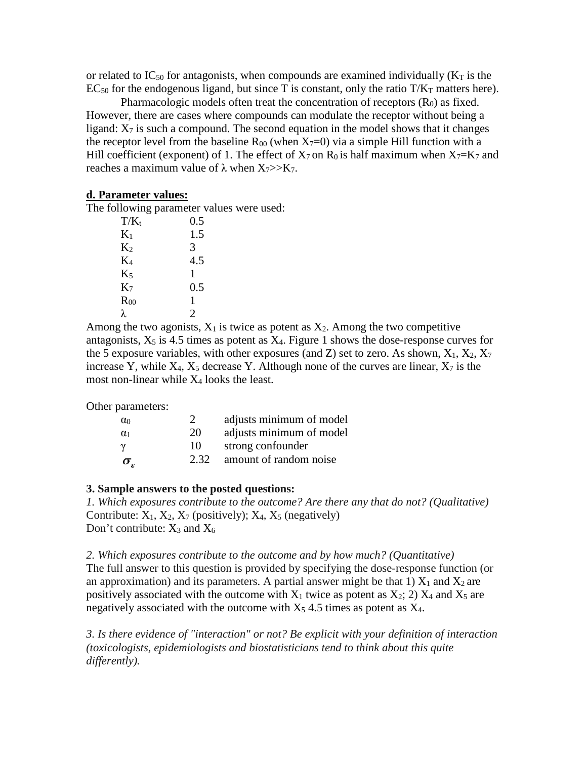or related to IC<sub>50</sub> for antagonists, when compounds are examined individually ( $K<sub>T</sub>$  is the  $EC_{50}$  for the endogenous ligand, but since T is constant, only the ratio  $T/K_T$  matters here).

Pharmacologic models often treat the concentration of receptors  $(R_0)$  as fixed. However, there are cases where compounds can modulate the receptor without being a ligand:  $X_7$  is such a compound. The second equation in the model shows that it changes the receptor level from the baseline  $R_{00}$  (when  $X_{7}=0$ ) via a simple Hill function with a Hill coefficient (exponent) of 1. The effect of  $X_7$  on  $R_0$  is half maximum when  $X_7=K_7$  and reaches a maximum value of  $\lambda$  when  $X_7 \gg X_7$ .

### **d. Parameter values:**

The following parameter values were used:

| $T/K_t$        | 0.5 |
|----------------|-----|
| $K_1$          | 1.5 |
| $K_2$          | 3   |
| $K_4$          | 4.5 |
| $K_5$          | 1   |
| K <sub>7</sub> | 0.5 |
| $R_{00}$       | 1   |
| λ              | 2   |

Among the two agonists,  $X_1$  is twice as potent as  $X_2$ . Among the two competitive antagonists,  $X_5$  is 4.5 times as potent as  $X_4$ . Figure 1 shows the dose-response curves for the 5 exposure variables, with other exposures (and Z) set to zero. As shown,  $X_1, X_2, X_7$ increase Y, while  $X_4$ ,  $X_5$  decrease Y. Although none of the curves are linear,  $X_7$  is the most non-linear while  $X_4$  looks the least.

Other parameters:

| $\alpha_0$   |      | adjusts minimum of model |
|--------------|------|--------------------------|
| $\alpha_1$   | 20   | adjusts minimum of model |
|              | 10   | strong confounder        |
| $\sigma_{-}$ | 2.32 | amount of random noise   |

# **3. Sample answers to the posted questions:**

*1. Which exposures contribute to the outcome? Are there any that do not? (Qualitative)* Contribute:  $X_1, X_2, X_7$  (positively);  $X_4, X_5$  (negatively) Don't contribute:  $X_3$  and  $X_6$ 

*2. Which exposures contribute to the outcome and by how much? (Quantitative)* The full answer to this question is provided by specifying the dose-response function (or an approximation) and its parameters. A partial answer might be that 1)  $X_1$  and  $X_2$  are positively associated with the outcome with  $X_1$  twice as potent as  $X_2$ ; 2)  $X_4$  and  $X_5$  are negatively associated with the outcome with  $X_5$  4.5 times as potent as  $X_4$ .

*3. Is there evidence of "interaction" or not? Be explicit with your definition of interaction (toxicologists, epidemiologists and biostatisticians tend to think about this quite differently).*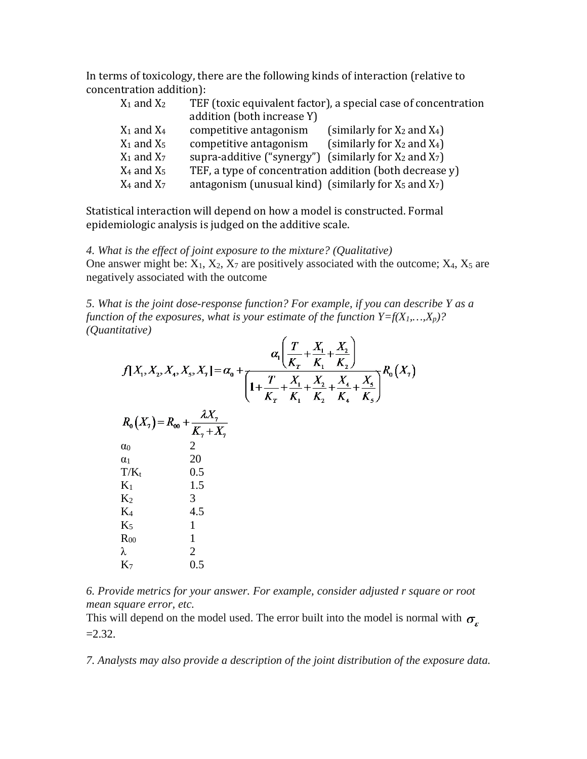In terms of toxicology, there are the following kinds of interaction (relative to concentration addition):

| $X_1$ and $X_2$ | TEF (toxic equivalent factor), a special case of concentration |                                  |  |  |  |  |
|-----------------|----------------------------------------------------------------|----------------------------------|--|--|--|--|
|                 | addition (both increase Y)                                     |                                  |  |  |  |  |
| $X_1$ and $X_4$ | competitive antagonism                                         | (similarly for $X_2$ and $X_4$ ) |  |  |  |  |
| $X_1$ and $X_5$ | competitive antagonism                                         | (similarly for $X_2$ and $X_4$ ) |  |  |  |  |
| $X_1$ and $X_7$ | supra-additive ("synergy") (similarly for $X_2$ and $X_7$ )    |                                  |  |  |  |  |
| $X_4$ and $X_5$ | TEF, a type of concentration addition (both decrease y)        |                                  |  |  |  |  |
| $X_4$ and $X_7$ | antagonism (unusual kind) (similarly for $X_5$ and $X_7$ )     |                                  |  |  |  |  |
|                 |                                                                |                                  |  |  |  |  |

Statistical interaction will depend on how a model is constructed. Formal epidemiologic analysis is judged on the additive scale.

*4. What is the effect of joint exposure to the mixture? (Qualitative)* One answer might be:  $X_1$ ,  $X_2$ ,  $X_7$  are positively associated with the outcome;  $X_4$ ,  $X_5$  are negatively associated with the outcome

*5. What is the joint dose-response function? For example, if you can describe Y as a function of the exposures, what is your estimate of the function*  $Y=f(X_1,...,X_p)$ *? (Quantitative)*  $\mathcal{L}$ 

| $f[X_1, X_2, X_4, X_5, X_7] = \alpha_0 + \frac{\alpha_1 \left( \frac{T}{K_T} + \frac{X_1}{K_1} + \frac{X_2}{K_2} \right)}{\left( 1 + \frac{T}{K_T} + \frac{X_1}{K_1} + \frac{X_2}{K_2} + \frac{X_4}{K_4} + \frac{X_5}{K_5} \right)} R_0(X_7)$ |
|-----------------------------------------------------------------------------------------------------------------------------------------------------------------------------------------------------------------------------------------------|
| $R_0(X_7) = R_{00} + \frac{\lambda X_7}{K_7 + X_7}$                                                                                                                                                                                           |
| $\overline{2}$                                                                                                                                                                                                                                |
| 20                                                                                                                                                                                                                                            |
| 0.5                                                                                                                                                                                                                                           |
| 1.5                                                                                                                                                                                                                                           |
| 3                                                                                                                                                                                                                                             |
| 4.5                                                                                                                                                                                                                                           |
|                                                                                                                                                                                                                                               |
|                                                                                                                                                                                                                                               |
| 2                                                                                                                                                                                                                                             |
| 0.5                                                                                                                                                                                                                                           |
|                                                                                                                                                                                                                                               |

*6. Provide metrics for your answer. For example, consider adjusted r square or root mean square error, etc.*

This will depend on the model used. The error built into the model is normal with  $\sigma_{\epsilon}$  $=2.32.$ 

*7. Analysts may also provide a description of the joint distribution of the exposure data.*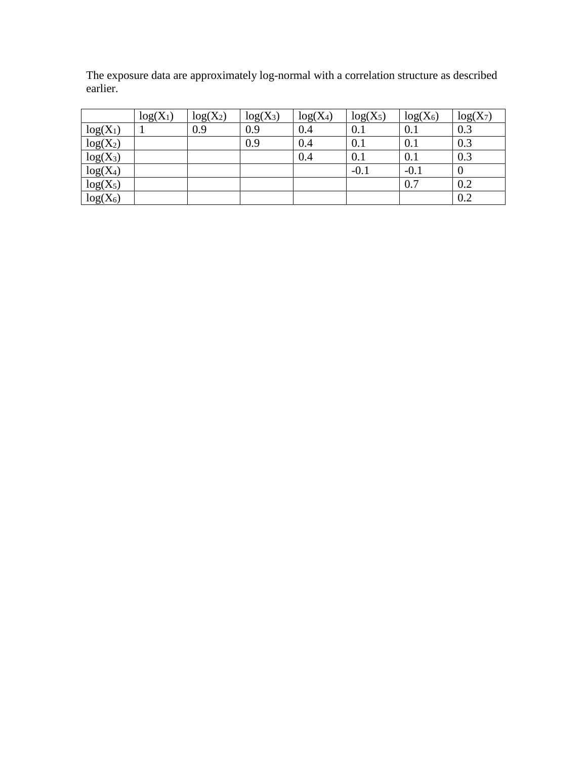The exposure data are approximately log-normal with a correlation structure as described earlier.

|            | $log(X_1)$ | $log(X_2)$ | $log(X_3)$ | $log(X_4)$ | $log(X_5)$ | $log(X_6)$ | $log(X_7)$ |
|------------|------------|------------|------------|------------|------------|------------|------------|
| $log(X_1)$ |            | 0.9        | 0.9        | 0.4        | 0.1        | 0.1        | 0.3        |
| $log(X_2)$ |            |            | 0.9        | 0.4        | 0.1        | 0.1        | 0.3        |
| $log(X_3)$ |            |            |            | 0.4        | 0.1        | 0.1        | 0.3        |
| $log(X_4)$ |            |            |            |            | $-0.1$     | $-0.1$     |            |
| $log(X_5)$ |            |            |            |            |            | 0.7        | 0.2        |
| $log(X_6)$ |            |            |            |            |            |            | 0.2        |